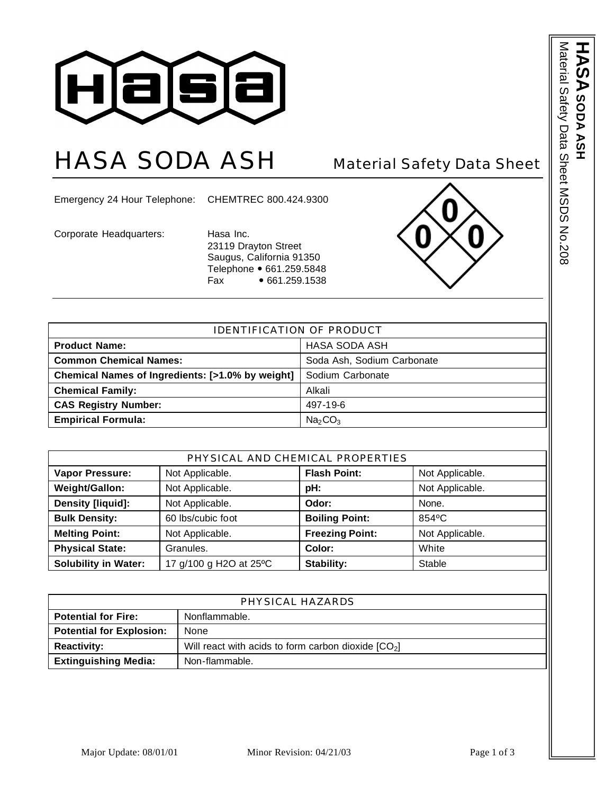

## HASA SODA ASH Material Safety Data Sheet

Emergency 24 Hour Telephone: CHEMTREC 800.424.9300

Corporate Headquarters: Hasa Inc.

23119 Drayton Street Saugus, California 91350 Telephone • 661.259.5848 Fax • 661.259.1538



| <b>IDENTIFICATION OF PRODUCT</b>                 |                                 |  |
|--------------------------------------------------|---------------------------------|--|
| <b>Product Name:</b>                             | HASA SODA ASH                   |  |
| <b>Common Chemical Names:</b>                    | Soda Ash, Sodium Carbonate      |  |
| Chemical Names of Ingredients: [>1.0% by weight] | Sodium Carbonate                |  |
| <b>Chemical Family:</b>                          | Alkali                          |  |
| <b>CAS Registry Number:</b>                      | 497-19-6                        |  |
| <b>Empirical Formula:</b>                        | Na <sub>2</sub> CO <sub>3</sub> |  |

| PHYSICAL AND CHEMICAL PROPERTIES |                        |                        |                 |
|----------------------------------|------------------------|------------------------|-----------------|
| <b>Vapor Pressure:</b>           | Not Applicable.        | <b>Flash Point:</b>    | Not Applicable. |
| Weight/Gallon:                   | Not Applicable.        | pH:                    | Not Applicable. |
| Density [liquid]:                | Not Applicable.        | Odor:                  | None.           |
| <b>Bulk Density:</b>             | 60 lbs/cubic foot      | <b>Boiling Point:</b>  | 854°C           |
| <b>Melting Point:</b>            | Not Applicable.        | <b>Freezing Point:</b> | Not Applicable. |
| <b>Physical State:</b>           | Granules.              | Color:                 | White           |
| <b>Solubility in Water:</b>      | 17 g/100 g H2O at 25°C | Stability:             | Stable          |

| PHYSICAL HAZARDS                |                                                      |  |
|---------------------------------|------------------------------------------------------|--|
| <b>Potential for Fire:</b>      | Nonflammable.                                        |  |
| <b>Potential for Explosion:</b> | None                                                 |  |
| <b>Reactivity:</b>              | Will react with acids to form carbon dioxide $[CO2]$ |  |
| <b>Extinguishing Media:</b>     | Non-flammable.                                       |  |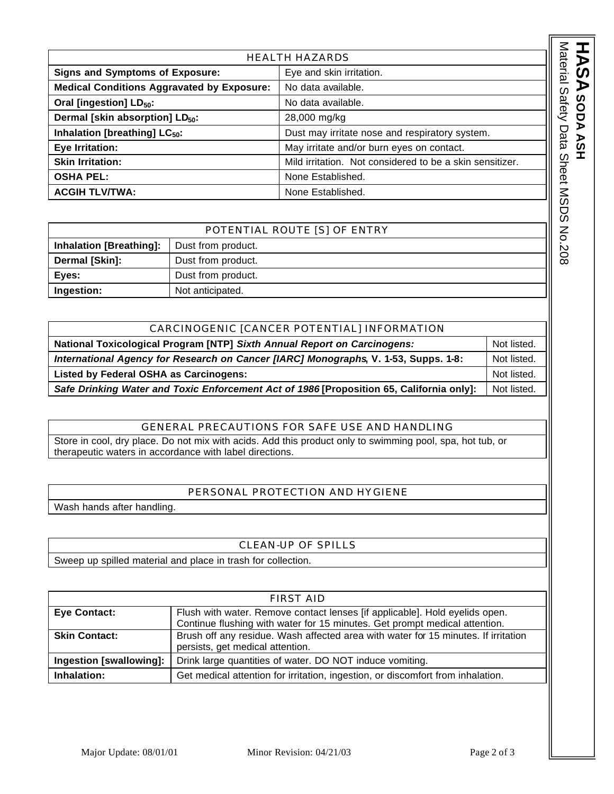| <b>HEALTH HAZARDS</b>                             |                                                          |  |
|---------------------------------------------------|----------------------------------------------------------|--|
| <b>Signs and Symptoms of Exposure:</b>            | Eye and skin irritation.                                 |  |
| <b>Medical Conditions Aggravated by Exposure:</b> | No data available.                                       |  |
| Oral [ingestion] LD <sub>50</sub> :               | No data available.                                       |  |
| Dermal [skin absorption] LD <sub>50</sub> :       | 28,000 mg/kg                                             |  |
| Inhalation [breathing] LC <sub>50</sub> :         | Dust may irritate nose and respiratory system.           |  |
| Eye Irritation:                                   | May irritate and/or burn eyes on contact.                |  |
| <b>Skin Irritation:</b>                           | Mild irritation. Not considered to be a skin sensitizer. |  |
| <b>OSHA PEL:</b>                                  | None Established.                                        |  |
| <b>ACGIH TLV/TWA:</b>                             | None Established.                                        |  |

| POTENTIAL ROUTE [S] OF ENTRY   |                    |  |
|--------------------------------|--------------------|--|
| <b>Inhalation [Breathing]:</b> | Dust from product. |  |
| Dermal [Skin]:                 | Dust from product. |  |
| Eyes:                          | Dust from product. |  |
| Ingestion:                     | Not anticipated.   |  |

| CARCINOGENIC [CANCER POTENTIAL] INFORMATION                                              |             |  |
|------------------------------------------------------------------------------------------|-------------|--|
| National Toxicological Program [NTP] Sixth Annual Report on Carcinogens:                 | Not listed. |  |
| International Agency for Research on Cancer [IARC] Monographs, V. 1-53, Supps. 1-8:      |             |  |
| <b>Listed by Federal OSHA as Carcinogens:</b>                                            | Not listed. |  |
| Safe Drinking Water and Toxic Enforcement Act of 1986 [Proposition 65, California only]: | Not listed. |  |

## GENERAL PRECAUTIONS FOR SAFE USE AND HANDLING

Store in cool, dry place. Do not mix with acids. Add this product only to swimming pool, spa, hot tub, or therapeutic waters in accordance with label directions.

## PERSONAL PROTECTION AND HYGIENE

Wash hands after handling.

## CLEAN-UP OF SPILLS

Sweep up spilled material and place in trash for collection.

| <b>FIRST AID</b>        |                                                                                    |
|-------------------------|------------------------------------------------------------------------------------|
| <b>Eye Contact:</b>     | Flush with water. Remove contact lenses [if applicable]. Hold eyelids open.        |
|                         | Continue flushing with water for 15 minutes. Get prompt medical attention.         |
| <b>Skin Contact:</b>    | Brush off any residue. Wash affected area with water for 15 minutes. If irritation |
|                         | persists, get medical attention.                                                   |
| Ingestion [swallowing]: | Drink large quantities of water. DO NOT induce vomiting.                           |
| Inhalation:             | Get medical attention for irritation, ingestion, or discomfort from inhalation.    |

**ASA SODA ASH** 

**SODA ASH**

Material Safety Data Sheet MSDS No.208

Material Safety Data Sheet MSDS No.208